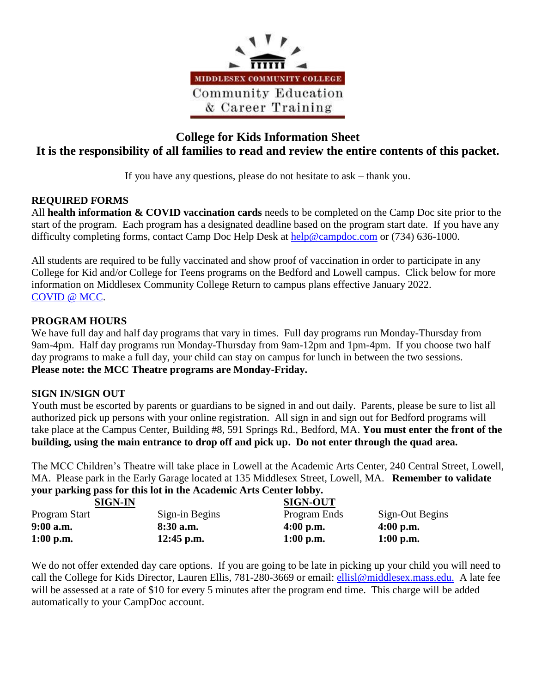

# **College for Kids Information Sheet It is the responsibility of all families to read and review the entire contents of this packet.**

If you have any questions, please do not hesitate to ask – thank you.

### **REQUIRED FORMS**

All **health information & COVID vaccination cards** needs to be completed on the Camp Doc site prior to the start of the program. Each program has a designated deadline based on the program start date. If you have any difficulty completing forms, contact Camp Doc Help Desk at [help@campdoc.com](mailto:help@campdoc.com) or (734) 636-1000.

All students are required to be fully vaccinated and show proof of vaccination in order to participate in any College for Kid and/or College for Teens programs on the Bedford and Lowell campus. Click below for more information on Middlesex Community College Return to campus plans effective January 2022. [COVID @ MCC.](https://www.middlesex.mass.edu/returntocampus2021/)

### **PROGRAM HOURS**

We have full day and half day programs that vary in times. Full day programs run Monday-Thursday from 9am-4pm. Half day programs run Monday-Thursday from 9am-12pm and 1pm-4pm. If you choose two half day programs to make a full day, your child can stay on campus for lunch in between the two sessions. **Please note: the MCC Theatre programs are Monday-Friday.** 

### **SIGN IN/SIGN OUT**

Youth must be escorted by parents or guardians to be signed in and out daily. Parents, please be sure to list all authorized pick up persons with your online registration. All sign in and sign out for Bedford programs will take place at the Campus Center, Building #8, 591 Springs Rd., Bedford, MA. **You must enter the front of the building, using the main entrance to drop off and pick up. Do not enter through the quad area.**

The MCC Children's Theatre will take place in Lowell at the Academic Arts Center, 240 Central Street, Lowell, MA. Please park in the Early Garage located at 135 Middlesex Street, Lowell, MA. **Remember to validate your parking pass for this lot in the Academic Arts Center lobby.** 

| <b>SIGN-IN</b> |                | <b>SIGN-OUT</b> |                 |
|----------------|----------------|-----------------|-----------------|
| Program Start  | Sign-in Begins | Program Ends    | Sign-Out Begins |
| $9:00$ a.m.    | 8:30 a.m.      | $4:00$ p.m.     | $4:00$ p.m.     |
| $1:00$ p.m.    | $12:45$ p.m.   | $1:00$ p.m.     | $1:00$ p.m.     |

We do not offer extended day care options. If you are going to be late in picking up your child you will need to call the College for Kids Director, Lauren Ellis, 781-280-3669 or email: [ellisl@middlesex.mass.edu.](mailto:ellisl@middlesex.mass.edu.) A late fee will be assessed at a rate of \$10 for every 5 minutes after the program end time. This charge will be added automatically to your CampDoc account.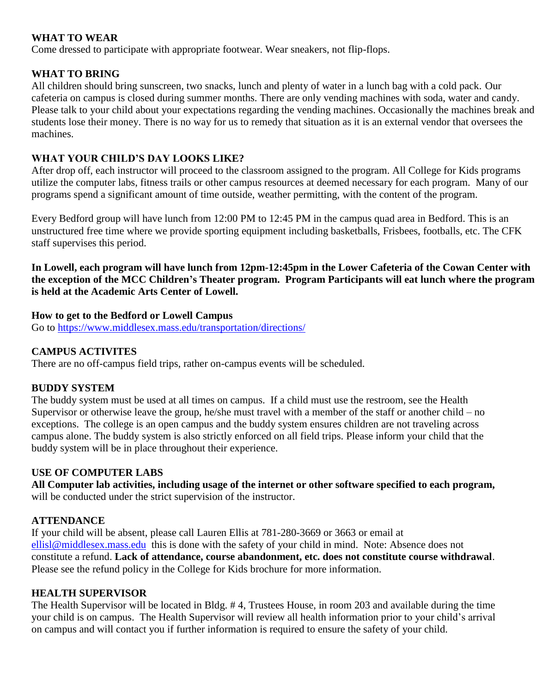### **WHAT TO WEAR**

Come dressed to participate with appropriate footwear. Wear sneakers, not flip-flops.

### **WHAT TO BRING**

All children should bring sunscreen, two snacks, lunch and plenty of water in a lunch bag with a cold pack. Our cafeteria on campus is closed during summer months. There are only vending machines with soda, water and candy. Please talk to your child about your expectations regarding the vending machines. Occasionally the machines break and students lose their money. There is no way for us to remedy that situation as it is an external vendor that oversees the machines.

### **WHAT YOUR CHILD'S DAY LOOKS LIKE?**

After drop off, each instructor will proceed to the classroom assigned to the program. All College for Kids programs utilize the computer labs, fitness trails or other campus resources at deemed necessary for each program. Many of our programs spend a significant amount of time outside, weather permitting, with the content of the program.

Every Bedford group will have lunch from 12:00 PM to 12:45 PM in the campus quad area in Bedford. This is an unstructured free time where we provide sporting equipment including basketballs, Frisbees, footballs, etc. The CFK staff supervises this period.

**In Lowell, each program will have lunch from 12pm-12:45pm in the Lower Cafeteria of the Cowan Center with the exception of the MCC Children's Theater program. Program Participants will eat lunch where the program is held at the Academic Arts Center of Lowell.** 

### **How to get to the Bedford or Lowell Campus**

Go to<https://www.middlesex.mass.edu/transportation/directions/>

### **CAMPUS ACTIVITES**

There are no off-campus field trips, rather on-campus events will be scheduled.

### **BUDDY SYSTEM**

The buddy system must be used at all times on campus. If a child must use the restroom, see the Health Supervisor or otherwise leave the group, he/she must travel with a member of the staff or another child – no exceptions. The college is an open campus and the buddy system ensures children are not traveling across campus alone. The buddy system is also strictly enforced on all field trips. Please inform your child that the buddy system will be in place throughout their experience.

## **USE OF COMPUTER LABS**

**All Computer lab activities, including usage of the internet or other software specified to each program,** will be conducted under the strict supervision of the instructor.

## **ATTENDANCE**

If your child will be absent, please call Lauren Ellis at 781-280-3669 or 3663 or email at [ellisl@middlesex.mass.edu](mailto:ellisl@middlesex.mass.edu) this is done with the safety of your child in mind. Note: Absence does not constitute a refund. **Lack of attendance, course abandonment, etc. does not constitute course withdrawal**. Please see the refund policy in the College for Kids brochure for more information.

### **HEALTH SUPERVISOR**

The Health Supervisor will be located in Bldg. # 4, Trustees House, in room 203 and available during the time your child is on campus. The Health Supervisor will review all health information prior to your child's arrival on campus and will contact you if further information is required to ensure the safety of your child.